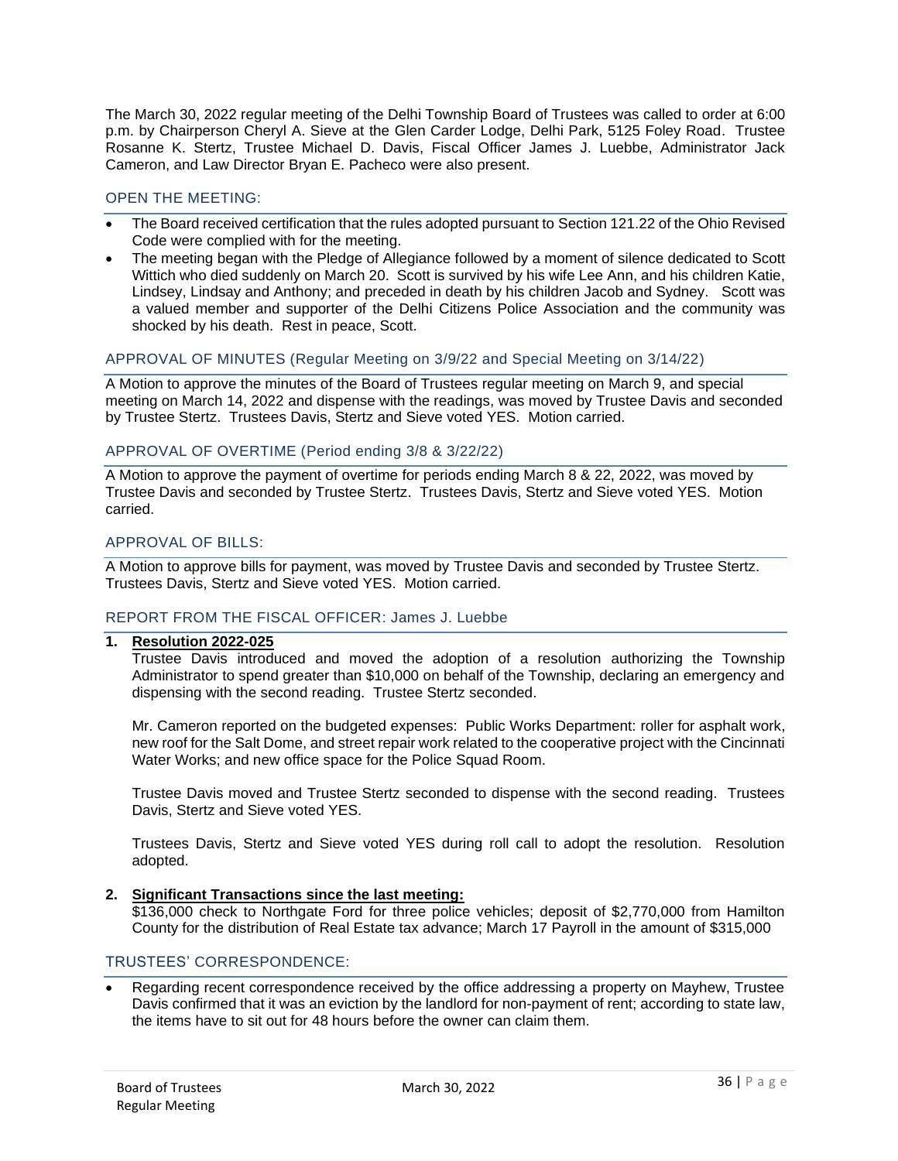The March 30, 2022 regular meeting of the Delhi Township Board of Trustees was called to order at 6:00 p.m. by Chairperson Cheryl A. Sieve at the Glen Carder Lodge, Delhi Park, 5125 Foley Road. Trustee Rosanne K. Stertz, Trustee Michael D. Davis, Fiscal Officer James J. Luebbe, Administrator Jack Cameron, and Law Director Bryan E. Pacheco were also present.

# OPEN THE MEETING:

- The Board received certification that the rules adopted pursuant to Section 121.22 of the Ohio Revised Code were complied with for the meeting.
- The meeting began with the Pledge of Allegiance followed by a moment of silence dedicated to Scott Wittich who died suddenly on March 20. Scott is survived by his wife Lee Ann, and his children Katie, Lindsey, Lindsay and Anthony; and preceded in death by his children Jacob and Sydney. Scott was a valued member and supporter of the Delhi Citizens Police Association and the community was shocked by his death. Rest in peace, Scott.

# APPROVAL OF MINUTES (Regular Meeting on 3/9/22 and Special Meeting on 3/14/22)

A Motion to approve the minutes of the Board of Trustees regular meeting on March 9, and special meeting on March 14, 2022 and dispense with the readings, was moved by Trustee Davis and seconded by Trustee Stertz. Trustees Davis, Stertz and Sieve voted YES. Motion carried.

# APPROVAL OF OVERTIME (Period ending 3/8 & 3/22/22)

A Motion to approve the payment of overtime for periods ending March 8 & 22, 2022, was moved by Trustee Davis and seconded by Trustee Stertz. Trustees Davis, Stertz and Sieve voted YES. Motion carried.

# APPROVAL OF BILLS:

A Motion to approve bills for payment, was moved by Trustee Davis and seconded by Trustee Stertz. Trustees Davis, Stertz and Sieve voted YES. Motion carried.

# REPORT FROM THE FISCAL OFFICER: James J. Luebbe

## **1. Resolution 2022-025**

Trustee Davis introduced and moved the adoption of a resolution authorizing the Township Administrator to spend greater than \$10,000 on behalf of the Township, declaring an emergency and dispensing with the second reading. Trustee Stertz seconded.

Mr. Cameron reported on the budgeted expenses: Public Works Department: roller for asphalt work, new roof for the Salt Dome, and street repair work related to the cooperative project with the Cincinnati Water Works; and new office space for the Police Squad Room.

Trustee Davis moved and Trustee Stertz seconded to dispense with the second reading. Trustees Davis, Stertz and Sieve voted YES.

Trustees Davis, Stertz and Sieve voted YES during roll call to adopt the resolution. Resolution adopted.

## **2. Significant Transactions since the last meeting:**

\$136,000 check to Northgate Ford for three police vehicles; deposit of \$2,770,000 from Hamilton County for the distribution of Real Estate tax advance; March 17 Payroll in the amount of \$315,000

### TRUSTEES' CORRESPONDENCE:

• Regarding recent correspondence received by the office addressing a property on Mayhew, Trustee Davis confirmed that it was an eviction by the landlord for non-payment of rent; according to state law, the items have to sit out for 48 hours before the owner can claim them.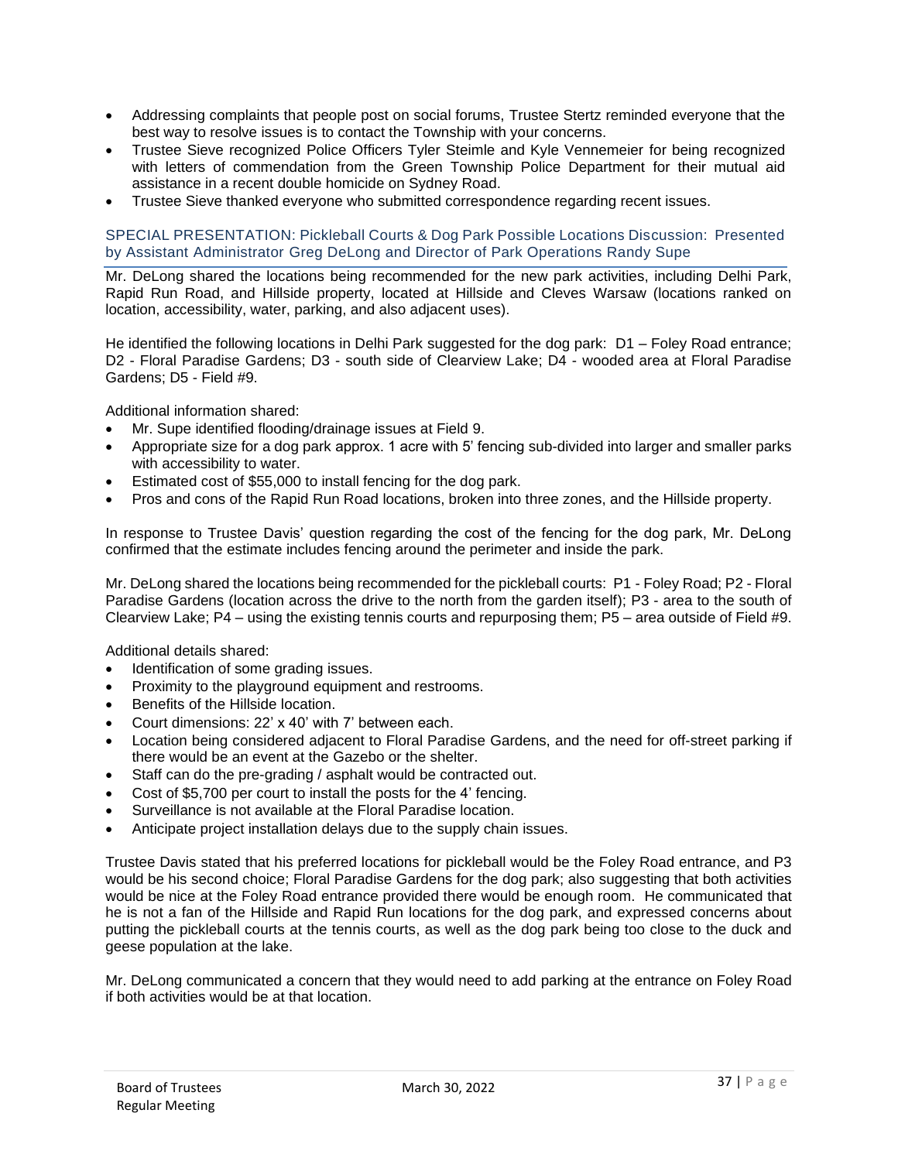- Addressing complaints that people post on social forums, Trustee Stertz reminded everyone that the best way to resolve issues is to contact the Township with your concerns.
- Trustee Sieve recognized Police Officers Tyler Steimle and Kyle Vennemeier for being recognized with letters of commendation from the Green Township Police Department for their mutual aid assistance in a recent double homicide on Sydney Road.
- Trustee Sieve thanked everyone who submitted correspondence regarding recent issues.

SPECIAL PRESENTATION: Pickleball Courts & Dog Park Possible Locations Discussion: Presented by Assistant Administrator Greg DeLong and Director of Park Operations Randy Supe

Mr. DeLong shared the locations being recommended for the new park activities, including Delhi Park, Rapid Run Road, and Hillside property, located at Hillside and Cleves Warsaw (locations ranked on location, accessibility, water, parking, and also adjacent uses).

He identified the following locations in Delhi Park suggested for the dog park: D1 – Foley Road entrance; D2 - Floral Paradise Gardens; D3 - south side of Clearview Lake; D4 - wooded area at Floral Paradise Gardens; D5 - Field #9.

Additional information shared:

- Mr. Supe identified flooding/drainage issues at Field 9.
- Appropriate size for a dog park approx. 1 acre with 5' fencing sub-divided into larger and smaller parks with accessibility to water.
- Estimated cost of \$55,000 to install fencing for the dog park.
- Pros and cons of the Rapid Run Road locations, broken into three zones, and the Hillside property.

In response to Trustee Davis' question regarding the cost of the fencing for the dog park, Mr. DeLong confirmed that the estimate includes fencing around the perimeter and inside the park.

Mr. DeLong shared the locations being recommended for the pickleball courts: P1 - Foley Road; P2 - Floral Paradise Gardens (location across the drive to the north from the garden itself); P3 - area to the south of Clearview Lake; P4 – using the existing tennis courts and repurposing them; P5 – area outside of Field #9.

Additional details shared:

- Identification of some grading issues.
- Proximity to the playground equipment and restrooms.
- Benefits of the Hillside location.
- Court dimensions: 22' x 40' with 7' between each.
- Location being considered adjacent to Floral Paradise Gardens, and the need for off-street parking if there would be an event at the Gazebo or the shelter.
- Staff can do the pre-grading / asphalt would be contracted out.
- Cost of \$5,700 per court to install the posts for the 4' fencing.
- Surveillance is not available at the Floral Paradise location.
- Anticipate project installation delays due to the supply chain issues.

Trustee Davis stated that his preferred locations for pickleball would be the Foley Road entrance, and P3 would be his second choice; Floral Paradise Gardens for the dog park; also suggesting that both activities would be nice at the Foley Road entrance provided there would be enough room. He communicated that he is not a fan of the Hillside and Rapid Run locations for the dog park, and expressed concerns about putting the pickleball courts at the tennis courts, as well as the dog park being too close to the duck and geese population at the lake.

Mr. DeLong communicated a concern that they would need to add parking at the entrance on Foley Road if both activities would be at that location.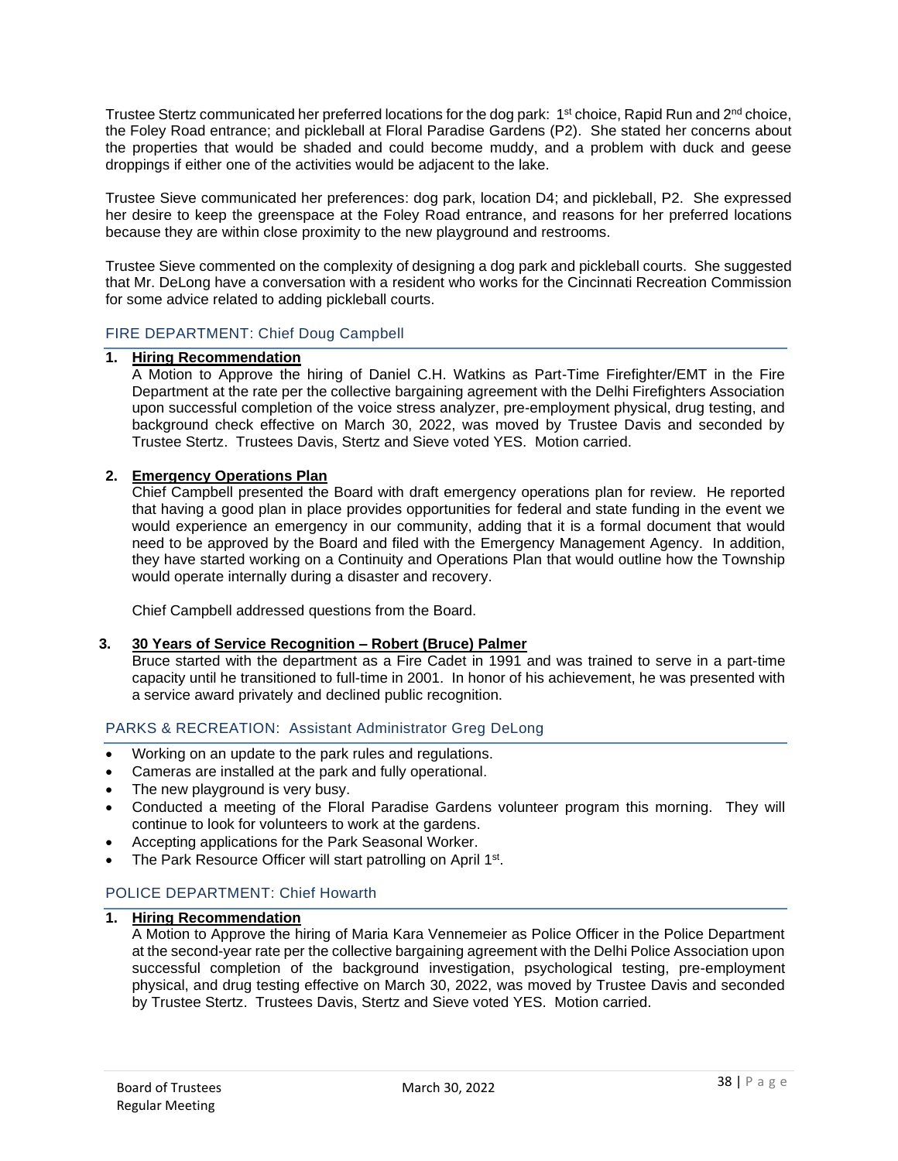Trustee Stertz communicated her preferred locations for the dog park: 1<sup>st</sup> choice, Rapid Run and 2<sup>nd</sup> choice, the Foley Road entrance; and pickleball at Floral Paradise Gardens (P2). She stated her concerns about the properties that would be shaded and could become muddy, and a problem with duck and geese droppings if either one of the activities would be adjacent to the lake.

Trustee Sieve communicated her preferences: dog park, location D4; and pickleball, P2. She expressed her desire to keep the greenspace at the Foley Road entrance, and reasons for her preferred locations because they are within close proximity to the new playground and restrooms.

Trustee Sieve commented on the complexity of designing a dog park and pickleball courts. She suggested that Mr. DeLong have a conversation with a resident who works for the Cincinnati Recreation Commission for some advice related to adding pickleball courts.

## FIRE DEPARTMENT: Chief Doug Campbell

#### **1. Hiring Recommendation**

A Motion to Approve the hiring of Daniel C.H. Watkins as Part-Time Firefighter/EMT in the Fire Department at the rate per the collective bargaining agreement with the Delhi Firefighters Association upon successful completion of the voice stress analyzer, pre-employment physical, drug testing, and background check effective on March 30, 2022, was moved by Trustee Davis and seconded by Trustee Stertz. Trustees Davis, Stertz and Sieve voted YES. Motion carried.

## **2. Emergency Operations Plan**

Chief Campbell presented the Board with draft emergency operations plan for review. He reported that having a good plan in place provides opportunities for federal and state funding in the event we would experience an emergency in our community, adding that it is a formal document that would need to be approved by the Board and filed with the Emergency Management Agency. In addition, they have started working on a Continuity and Operations Plan that would outline how the Township would operate internally during a disaster and recovery.

Chief Campbell addressed questions from the Board.

#### **3. 30 Years of Service Recognition – Robert (Bruce) Palmer**

Bruce started with the department as a Fire Cadet in 1991 and was trained to serve in a part-time capacity until he transitioned to full-time in 2001. In honor of his achievement, he was presented with a service award privately and declined public recognition.

## PARKS & RECREATION: Assistant Administrator Greg DeLong

- Working on an update to the park rules and regulations.
- Cameras are installed at the park and fully operational.
- The new playground is very busy.
- Conducted a meeting of the Floral Paradise Gardens volunteer program this morning. They will continue to look for volunteers to work at the gardens.
- Accepting applications for the Park Seasonal Worker.
- The Park Resource Officer will start patrolling on April 1<sup>st</sup>.

#### POLICE DEPARTMENT: Chief Howarth

## **1. Hiring Recommendation**

A Motion to Approve the hiring of Maria Kara Vennemeier as Police Officer in the Police Department at the second-year rate per the collective bargaining agreement with the Delhi Police Association upon successful completion of the background investigation, psychological testing, pre-employment physical, and drug testing effective on March 30, 2022, was moved by Trustee Davis and seconded by Trustee Stertz. Trustees Davis, Stertz and Sieve voted YES. Motion carried.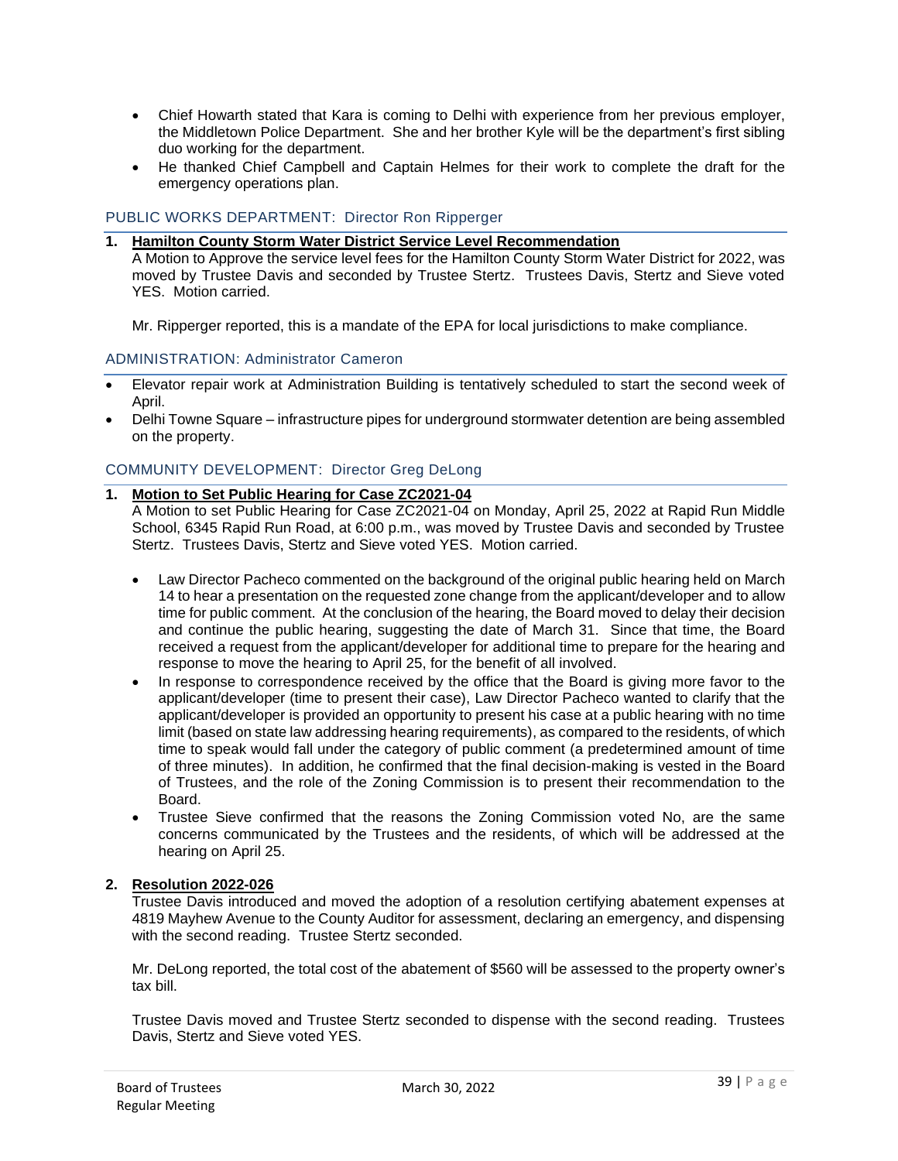- Chief Howarth stated that Kara is coming to Delhi with experience from her previous employer, the Middletown Police Department. She and her brother Kyle will be the department's first sibling duo working for the department.
- He thanked Chief Campbell and Captain Helmes for their work to complete the draft for the emergency operations plan.

# PUBLIC WORKS DEPARTMENT: Director Ron Ripperger

**1. Hamilton County Storm Water District Service Level Recommendation**

A Motion to Approve the service level fees for the Hamilton County Storm Water District for 2022, was moved by Trustee Davis and seconded by Trustee Stertz. Trustees Davis, Stertz and Sieve voted YES. Motion carried.

Mr. Ripperger reported, this is a mandate of the EPA for local jurisdictions to make compliance.

## ADMINISTRATION: Administrator Cameron

- Elevator repair work at Administration Building is tentatively scheduled to start the second week of April.
- Delhi Towne Square infrastructure pipes for underground stormwater detention are being assembled on the property.

# COMMUNITY DEVELOPMENT: Director Greg DeLong

# **1. Motion to Set Public Hearing for Case ZC2021-04**

A Motion to set Public Hearing for Case ZC2021-04 on Monday, April 25, 2022 at Rapid Run Middle School, 6345 Rapid Run Road, at 6:00 p.m., was moved by Trustee Davis and seconded by Trustee Stertz. Trustees Davis, Stertz and Sieve voted YES. Motion carried.

- Law Director Pacheco commented on the background of the original public hearing held on March 14 to hear a presentation on the requested zone change from the applicant/developer and to allow time for public comment. At the conclusion of the hearing, the Board moved to delay their decision and continue the public hearing, suggesting the date of March 31. Since that time, the Board received a request from the applicant/developer for additional time to prepare for the hearing and response to move the hearing to April 25, for the benefit of all involved.
- In response to correspondence received by the office that the Board is giving more favor to the applicant/developer (time to present their case), Law Director Pacheco wanted to clarify that the applicant/developer is provided an opportunity to present his case at a public hearing with no time limit (based on state law addressing hearing requirements), as compared to the residents, of which time to speak would fall under the category of public comment (a predetermined amount of time of three minutes). In addition, he confirmed that the final decision-making is vested in the Board of Trustees, and the role of the Zoning Commission is to present their recommendation to the Board.
- Trustee Sieve confirmed that the reasons the Zoning Commission voted No, are the same concerns communicated by the Trustees and the residents, of which will be addressed at the hearing on April 25.

#### **2. Resolution 2022-026**

Trustee Davis introduced and moved the adoption of a resolution certifying abatement expenses at 4819 Mayhew Avenue to the County Auditor for assessment, declaring an emergency, and dispensing with the second reading. Trustee Stertz seconded.

Mr. DeLong reported, the total cost of the abatement of \$560 will be assessed to the property owner's tax bill.

Trustee Davis moved and Trustee Stertz seconded to dispense with the second reading. Trustees Davis, Stertz and Sieve voted YES.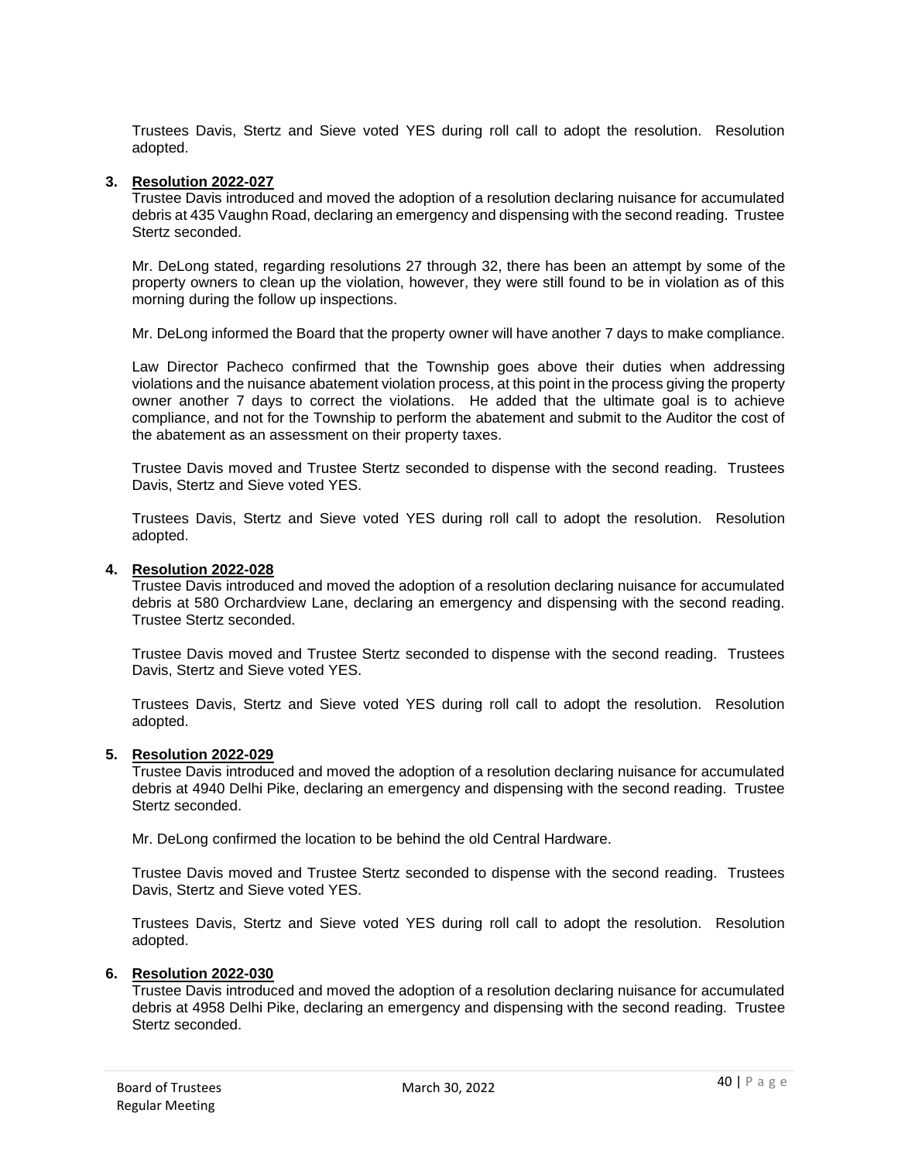Trustees Davis, Stertz and Sieve voted YES during roll call to adopt the resolution. Resolution adopted.

#### **3. Resolution 2022-027**

Trustee Davis introduced and moved the adoption of a resolution declaring nuisance for accumulated debris at 435 Vaughn Road, declaring an emergency and dispensing with the second reading. Trustee Stertz seconded.

Mr. DeLong stated, regarding resolutions 27 through 32, there has been an attempt by some of the property owners to clean up the violation, however, they were still found to be in violation as of this morning during the follow up inspections.

Mr. DeLong informed the Board that the property owner will have another 7 days to make compliance.

Law Director Pacheco confirmed that the Township goes above their duties when addressing violations and the nuisance abatement violation process, at this point in the process giving the property owner another 7 days to correct the violations. He added that the ultimate goal is to achieve compliance, and not for the Township to perform the abatement and submit to the Auditor the cost of the abatement as an assessment on their property taxes.

Trustee Davis moved and Trustee Stertz seconded to dispense with the second reading. Trustees Davis, Stertz and Sieve voted YES.

Trustees Davis, Stertz and Sieve voted YES during roll call to adopt the resolution. Resolution adopted.

#### **4. Resolution 2022-028**

Trustee Davis introduced and moved the adoption of a resolution declaring nuisance for accumulated debris at 580 Orchardview Lane, declaring an emergency and dispensing with the second reading. Trustee Stertz seconded.

Trustee Davis moved and Trustee Stertz seconded to dispense with the second reading. Trustees Davis, Stertz and Sieve voted YES.

Trustees Davis, Stertz and Sieve voted YES during roll call to adopt the resolution. Resolution adopted.

#### **5. Resolution 2022-029**

Trustee Davis introduced and moved the adoption of a resolution declaring nuisance for accumulated debris at 4940 Delhi Pike, declaring an emergency and dispensing with the second reading. Trustee Stertz seconded.

Mr. DeLong confirmed the location to be behind the old Central Hardware.

Trustee Davis moved and Trustee Stertz seconded to dispense with the second reading. Trustees Davis, Stertz and Sieve voted YES.

Trustees Davis, Stertz and Sieve voted YES during roll call to adopt the resolution. Resolution adopted.

#### **6. Resolution 2022-030**

Trustee Davis introduced and moved the adoption of a resolution declaring nuisance for accumulated debris at 4958 Delhi Pike, declaring an emergency and dispensing with the second reading. Trustee Stertz seconded.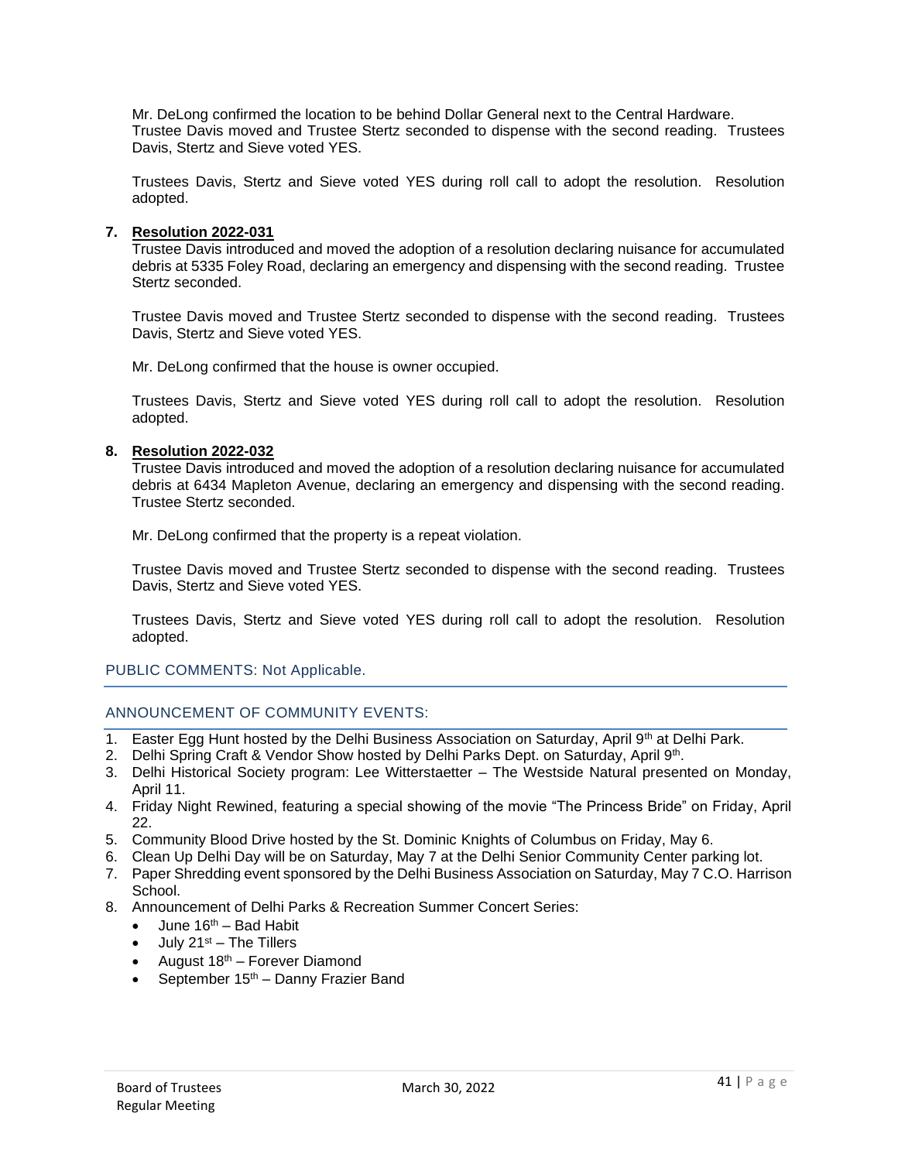Mr. DeLong confirmed the location to be behind Dollar General next to the Central Hardware. Trustee Davis moved and Trustee Stertz seconded to dispense with the second reading. Trustees Davis, Stertz and Sieve voted YES.

Trustees Davis, Stertz and Sieve voted YES during roll call to adopt the resolution. Resolution adopted.

#### **7. Resolution 2022-031**

Trustee Davis introduced and moved the adoption of a resolution declaring nuisance for accumulated debris at 5335 Foley Road, declaring an emergency and dispensing with the second reading. Trustee Stertz seconded.

Trustee Davis moved and Trustee Stertz seconded to dispense with the second reading. Trustees Davis, Stertz and Sieve voted YES.

Mr. DeLong confirmed that the house is owner occupied.

Trustees Davis, Stertz and Sieve voted YES during roll call to adopt the resolution. Resolution adopted.

## **8. Resolution 2022-032**

Trustee Davis introduced and moved the adoption of a resolution declaring nuisance for accumulated debris at 6434 Mapleton Avenue, declaring an emergency and dispensing with the second reading. Trustee Stertz seconded.

Mr. DeLong confirmed that the property is a repeat violation.

Trustee Davis moved and Trustee Stertz seconded to dispense with the second reading. Trustees Davis, Stertz and Sieve voted YES.

Trustees Davis, Stertz and Sieve voted YES during roll call to adopt the resolution. Resolution adopted.

# PUBLIC COMMENTS: Not Applicable.

# ANNOUNCEMENT OF COMMUNITY EVENTS:

- 1. Easter Egg Hunt hosted by the Delhi Business Association on Saturday, April 9<sup>th</sup> at Delhi Park.
- 2. Delhi Spring Craft & Vendor Show hosted by Delhi Parks Dept. on Saturday, April 9th.
- 3. Delhi Historical Society program: Lee Witterstaetter The Westside Natural presented on Monday, April 11.
- 4. Friday Night Rewined, featuring a special showing of the movie "The Princess Bride" on Friday, April 22.
- 5. Community Blood Drive hosted by the St. Dominic Knights of Columbus on Friday, May 6.
- 6. Clean Up Delhi Day will be on Saturday, May 7 at the Delhi Senior Community Center parking lot.
- 7. Paper Shredding event sponsored by the Delhi Business Association on Saturday, May 7 C.O. Harrison School.
- 8. Announcement of Delhi Parks & Recreation Summer Concert Series:
	- June  $16<sup>th</sup>$  Bad Habit
	- July 21<sup>st</sup> The Tillers
	- August  $18<sup>th</sup>$  Forever Diamond
	- September  $15<sup>th</sup>$  Danny Frazier Band